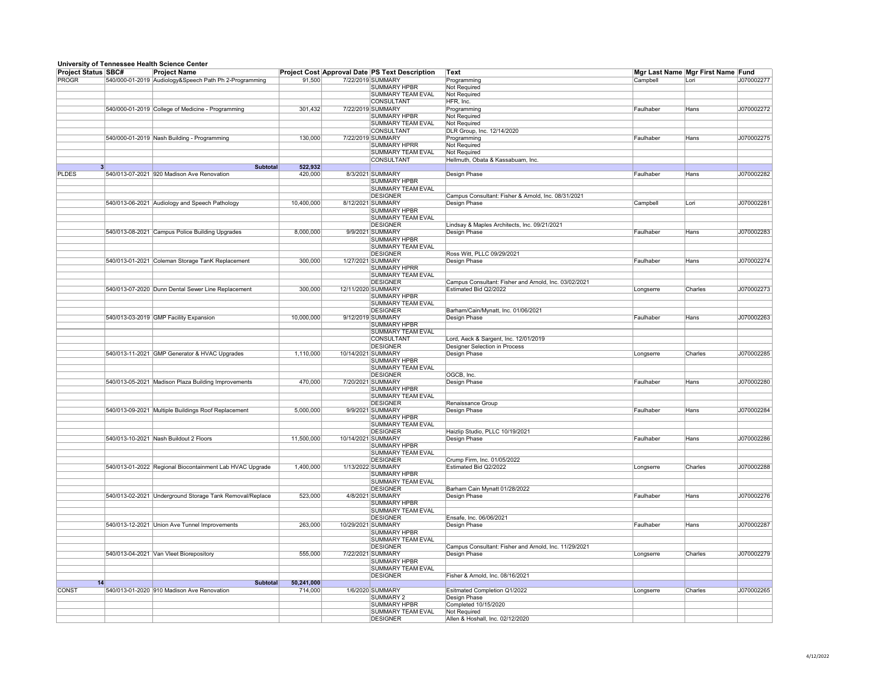## **University of Tennessee Health Science Center**

| <b>Project Status SBC#</b> |    | <u>University of Termoseco Hound Ocionico Ocinoi</u><br><b>Project Name</b> |            | <b>Project Cost Approval Date PS Text Description</b> | ∣Text                                                 |           | Mgr Last Name Mgr First Name Fund |            |
|----------------------------|----|-----------------------------------------------------------------------------|------------|-------------------------------------------------------|-------------------------------------------------------|-----------|-----------------------------------|------------|
| <b>PROGR</b>               |    | 540/000-01-2019 Audiology&Speech Path Ph 2-Programming                      | 91,500     | 7/22/2019 SUMMARY                                     | Programming                                           | Campbell  | Lori                              | J070002277 |
|                            |    |                                                                             |            | <b>SUMMARY HPBR</b>                                   | Not Required                                          |           |                                   |            |
|                            |    |                                                                             |            | <b>SUMMARY TEAM EVAL</b>                              | Not Required                                          |           |                                   |            |
|                            |    |                                                                             |            | <b>CONSULTANT</b>                                     | HFR, Inc.                                             |           |                                   |            |
|                            |    | 540/000-01-2019 College of Medicine - Programming                           | 301,432    | 7/22/2019 SUMMARY                                     | Programming                                           | Faulhaber | Hans                              | J070002272 |
|                            |    |                                                                             |            | <b>SUMMARY HPBR</b>                                   | Not Required                                          |           |                                   |            |
|                            |    |                                                                             |            | <b>SUMMARY TEAM EVAL</b>                              | Not Required                                          |           |                                   |            |
|                            |    |                                                                             |            | <b>CONSULTANT</b>                                     | DLR Group, Inc. 12/14/2020                            |           |                                   |            |
|                            |    | 540/000-01-2019 Nash Building - Programming                                 | 130,000    | 7/22/2019 SUMMARY                                     | Programming                                           | Faulhaber | Hans                              | J070002275 |
|                            |    |                                                                             |            | <b>SUMMARY HPRR</b>                                   | Not Required                                          |           |                                   |            |
|                            |    |                                                                             |            | <b>SUMMARY TEAM EVAL</b>                              | Not Required                                          |           |                                   |            |
|                            |    |                                                                             |            | <b>CONSULTANT</b>                                     | Hellmuth, Obata & Kassabuam, Inc.                     |           |                                   |            |
|                            | 3  | <b>Subtotal</b>                                                             | 522,932    |                                                       |                                                       |           |                                   |            |
| <b>PLDES</b>               |    | 540/013-07-2021 920 Madison Ave Renovation                                  | 420,000    | 8/3/2021 SUMMARY                                      | Design Phase                                          | Faulhaber | Hans                              | J070002282 |
|                            |    |                                                                             |            | <b>SUMMARY HPBR</b>                                   |                                                       |           |                                   |            |
|                            |    |                                                                             |            | <b>SUMMARY TEAM EVAL</b>                              |                                                       |           |                                   |            |
|                            |    |                                                                             |            | <b>DESIGNER</b>                                       | Campus Consultant: Fisher & Arnold, Inc. 08/31/2021   |           |                                   |            |
|                            |    | 540/013-06-2021 Audiology and Speech Pathology                              | 10,400,000 | 8/12/2021 SUMMARY                                     | Design Phase                                          | Campbell  | Lori                              | J070002281 |
|                            |    |                                                                             |            | <b>SUMMARY HPBR</b><br><b>SUMMARY TEAM EVAL</b>       |                                                       |           |                                   |            |
|                            |    |                                                                             |            | <b>DESIGNER</b>                                       | Lindsay & Maples Architects, Inc. 09/21/2021          |           |                                   |            |
|                            |    | 540/013-08-2021 Campus Police Building Upgrades                             | 8,000,000  | 9/9/2021 SUMMARY                                      | Design Phase                                          | Faulhaber | Hans                              | J070002283 |
|                            |    |                                                                             |            | <b>SUMMARY HPBR</b>                                   |                                                       |           |                                   |            |
|                            |    |                                                                             |            | <b>SUMMARY TEAM EVAL</b>                              |                                                       |           |                                   |            |
|                            |    |                                                                             |            | <b>DESIGNER</b>                                       | Ross Witt, PLLC 09/29/2021                            |           |                                   |            |
|                            |    | 540/013-01-2021 Coleman Storage TanK Replacement                            | 300,000    | 1/27/2021 SUMMARY                                     | Design Phase                                          | Faulhaber | Hans                              | J070002274 |
|                            |    |                                                                             |            | <b>SUMMARY HPRR</b>                                   |                                                       |           |                                   |            |
|                            |    |                                                                             |            | <b>SUMMARY TEAM EVAL</b>                              |                                                       |           |                                   |            |
|                            |    |                                                                             |            | <b>DESIGNER</b>                                       | Campus Consultant: Fisher and Arnold, Inc. 03/02/2021 |           |                                   |            |
|                            |    | 540/013-07-2020 Dunn Dental Sewer Line Replacement                          | 300,000    | 12/11/2020 SUMMARY                                    | Estimated Bid Q2/2022                                 | Longserre | Charles                           | J070002273 |
|                            |    |                                                                             |            | <b>SUMMARY HPBR</b>                                   |                                                       |           |                                   |            |
|                            |    |                                                                             |            | <b>SUMMARY TEAM EVAL</b>                              |                                                       |           |                                   |            |
|                            |    |                                                                             |            | <b>DESIGNER</b>                                       | Barham/Cain/Mynatt, Inc. 01/06/2021                   |           |                                   |            |
|                            |    | 540/013-03-2019 GMP Facility Expansion                                      | 10,000,000 | 9/12/2019 SUMMARY                                     | Design Phase                                          | Faulhaber | Hans                              | J070002263 |
|                            |    |                                                                             |            | <b>SUMMARY HPBR</b>                                   |                                                       |           |                                   |            |
|                            |    |                                                                             |            | <b>SUMMARY TEAM EVAL</b><br><b>CONSULTANT</b>         | Lord, Aeck & Sargent, Inc. 12/01/2019                 |           |                                   |            |
|                            |    |                                                                             |            | <b>DESIGNER</b>                                       | Designer Selection in Process                         |           |                                   |            |
|                            |    | 540/013-11-2021 GMP Generator & HVAC Upgrades                               | 1,110,000  | 10/14/2021 SUMMARY                                    | Design Phase                                          | Longserre | <b>Charles</b>                    | J070002285 |
|                            |    |                                                                             |            | <b>SUMMARY HPBR</b>                                   |                                                       |           |                                   |            |
|                            |    |                                                                             |            | <b>SUMMARY TEAM EVAL</b>                              |                                                       |           |                                   |            |
|                            |    |                                                                             |            | <b>DESIGNER</b>                                       | OGCB, Inc.                                            |           |                                   |            |
|                            |    | 540/013-05-2021 Madison Plaza Building Improvements                         | 470,000    | 7/20/2021 SUMMARY                                     | Design Phase                                          | Faulhaber | Hans                              | J070002280 |
|                            |    |                                                                             |            | <b>SUMMARY HPBR</b>                                   |                                                       |           |                                   |            |
|                            |    |                                                                             |            | <b>SUMMARY TEAM EVAL</b>                              |                                                       |           |                                   |            |
|                            |    |                                                                             |            | <b>DESIGNER</b>                                       | Renaissance Group                                     |           |                                   |            |
|                            |    | 540/013-09-2021 Multiple Buildings Roof Replacement                         | 5,000,000  | 9/9/2021 SUMMARY                                      | Design Phase                                          | Faulhaber | Hans                              | J070002284 |
|                            |    |                                                                             |            | <b>SUMMARY HPBR</b>                                   |                                                       |           |                                   |            |
|                            |    |                                                                             |            | <b>SUMMARY TEAM EVAL</b><br><b>DESIGNER</b>           |                                                       |           |                                   |            |
|                            |    | 540/013-10-2021 Nash Buildout 2 Floors                                      | 11,500,000 | 10/14/2021 SUMMARY                                    | Haizlip Studio, PLLC 10/19/2021<br>Design Phase       | Faulhaber | Hans                              | J070002286 |
|                            |    |                                                                             |            | <b>SUMMARY HPBR</b>                                   |                                                       |           |                                   |            |
|                            |    |                                                                             |            | <b>SUMMARY TEAM EVAL</b>                              |                                                       |           |                                   |            |
|                            |    |                                                                             |            | <b>DESIGNER</b>                                       | Crump Firm, Inc. 01/05/2022                           |           |                                   |            |
|                            |    | 540/013-01-2022 Regional Biocontainment Lab HVAC Upgrade                    | 1,400,000  | 1/13/2022 SUMMARY                                     | <b>Estimated Bid Q2/2022</b>                          | Longserre | Charles                           | J070002288 |
|                            |    |                                                                             |            | <b>SUMMARY HPBR</b>                                   |                                                       |           |                                   |            |
|                            |    |                                                                             |            | <b>SUMMARY TEAM EVAL</b>                              |                                                       |           |                                   |            |
|                            |    |                                                                             |            | <b>DESIGNER</b>                                       | Barham Cain Mynatt 01/28/2022                         |           |                                   |            |
|                            |    | 540/013-02-2021 Underground Storage Tank Removal/Replace                    | 523,000    | 4/8/2021 SUMMARY                                      | Design Phase                                          | Faulhaber | <b>IHans</b>                      | J070002276 |
|                            |    |                                                                             |            | <b>SUMMARY HPBR</b>                                   |                                                       |           |                                   |            |
|                            |    |                                                                             |            | <b>SUMMARY TEAM EVAL</b>                              |                                                       |           |                                   |            |
|                            |    |                                                                             |            | <b>DESIGNER</b>                                       | Ensafe, Inc. 06/06/2021                               |           |                                   |            |
|                            |    | 540/013-12-2021 Union Ave Tunnel Improvements                               | 263,000    | 10/29/2021 SUMMARY                                    | Design Phase                                          | Faulhaber | Hans                              | J070002287 |
|                            |    |                                                                             |            | SUMMARY HPBR                                          |                                                       |           |                                   |            |
|                            |    |                                                                             |            | <b>SUMMARY TEAM EVAL</b><br><b>DESIGNER</b>           | Campus Consultant: Fisher and Arnold, Inc. 11/29/2021 |           |                                   |            |
|                            |    | 540/013-04-2021 Van Vleet Biorepository                                     | 555,000    | 7/22/2021 SUMMARY                                     | Design Phase                                          | Longserre | Charles                           | J070002279 |
|                            |    |                                                                             |            | <b>SUMMARY HPBR</b>                                   |                                                       |           |                                   |            |
|                            |    |                                                                             |            | <b>SUMMARY TEAM EVAL</b>                              |                                                       |           |                                   |            |
|                            |    |                                                                             |            | <b>DESIGNER</b>                                       | Fisher & Arnold, Inc. 08/16/2021                      |           |                                   |            |
|                            | 14 | <b>Subtotal</b>                                                             | 50,241,000 |                                                       |                                                       |           |                                   |            |
| <b>CONST</b>               |    | 540/013-01-2020 910 Madison Ave Renovation                                  | 714,000    | 1/6/2020 SUMMARY                                      | <b>Esitmated Completion Q1/2022</b>                   | Longserre | <b>Charles</b>                    | J070002265 |
|                            |    |                                                                             |            | <b>SUMMARY 2</b>                                      | Design Phase                                          |           |                                   |            |
|                            |    |                                                                             |            | <b>SUMMARY HPBR</b>                                   | Completed 10/15/2020                                  |           |                                   |            |
|                            |    |                                                                             |            | <b>SUMMARY TEAM EVAL</b>                              | <b>Not Required</b>                                   |           |                                   |            |
|                            |    |                                                                             |            | <b>DESIGNER</b>                                       | Allen & Hoshall, Inc. 02/12/2020                      |           |                                   |            |
|                            |    |                                                                             |            |                                                       |                                                       |           |                                   |            |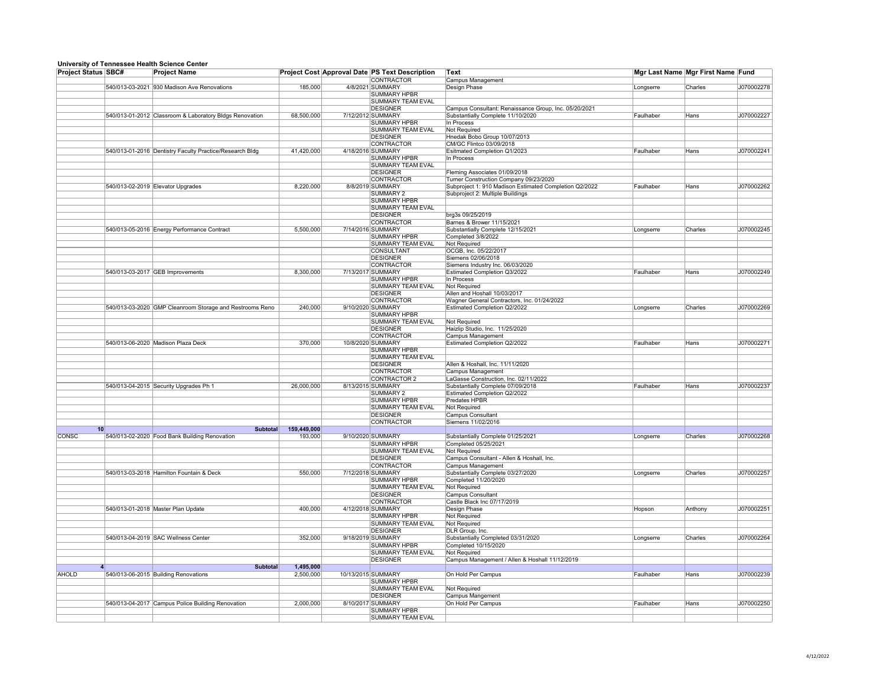## **University of Tennessee Health Science Center**

|                            | omvorsný or romicssoc ricann ociónoc ochici              |             |                    |                                                       |                                                        |           |                                   |            |
|----------------------------|----------------------------------------------------------|-------------|--------------------|-------------------------------------------------------|--------------------------------------------------------|-----------|-----------------------------------|------------|
| <b>Project Status SBC#</b> | <b>Project Name</b>                                      |             |                    | <b>Project Cost Approval Date PS Text Description</b> | <b>Text</b>                                            |           | Mgr Last Name Mgr First Name Fund |            |
|                            |                                                          |             |                    | <b>CONTRACTOR</b>                                     | <b>Campus Management</b>                               |           |                                   |            |
|                            | 540/013-03-2021 930 Madison Ave Renovations              | 185,000     |                    | 4/8/2021 SUMMARY                                      | Design Phase                                           | Longserre | Charles                           | J070002278 |
|                            |                                                          |             |                    | <b>SUMMARY HPBR</b>                                   |                                                        |           |                                   |            |
|                            |                                                          |             |                    | SUMMARY TEAM EVAL                                     |                                                        |           |                                   |            |
|                            |                                                          |             |                    | <b>DESIGNER</b>                                       | Campus Consultant: Renaissance Group, Inc. 05/20/2021  |           |                                   |            |
|                            |                                                          |             |                    |                                                       |                                                        |           |                                   |            |
|                            | 540/013-01-2012 Classroom & Laboratory Bldgs Renovation  | 68,500,000  | 7/12/2012 SUMMARY  |                                                       | Substantially Complete 11/10/2020                      | Faulhaber | Hans                              | J070002227 |
|                            |                                                          |             |                    | <b>SUMMARY HPBR</b>                                   | In Process                                             |           |                                   |            |
|                            |                                                          |             |                    | <b>SUMMARY TEAM EVAL</b>                              | <b>Not Required</b>                                    |           |                                   |            |
|                            |                                                          |             |                    | <b>DESIGNER</b>                                       | Hnedak Bobo Group 10/07/2013                           |           |                                   |            |
|                            |                                                          |             |                    | <b>CONTRACTOR</b>                                     | CM/GC Flintco 03/09/2018                               |           |                                   |            |
|                            |                                                          |             |                    |                                                       |                                                        |           |                                   |            |
|                            | 540/013-01-2016 Dentistry Faculty Practice/Research Bldg | 41,420,000  | 4/18/2016 SUMMARY  |                                                       | Esitmated Completion Q1/2023                           | Faulhaber | Hans                              | J070002241 |
|                            |                                                          |             |                    | <b>SUMMARY HPBR</b>                                   | In Process                                             |           |                                   |            |
|                            |                                                          |             |                    | <b>SUMMARY TEAM EVAL</b>                              |                                                        |           |                                   |            |
|                            |                                                          |             |                    | <b>DESIGNER</b>                                       | Fleming Associates 01/09/2018                          |           |                                   |            |
|                            |                                                          |             |                    | <b>CONTRACTOR</b>                                     | Turner Construction Company 09/23/2020                 |           |                                   |            |
|                            |                                                          |             |                    |                                                       |                                                        |           |                                   |            |
|                            | 540/013-02-2019 Elevator Upgrades                        | 8,220,000   |                    | 8/8/2019 SUMMARY                                      | Subproject 1: 910 Madison Estimated Completion Q2/2022 | Faulhaber | Hans                              | J070002262 |
|                            |                                                          |             |                    | <b>SUMMARY 2</b>                                      | Subproject 2: Multiple Buildings                       |           |                                   |            |
|                            |                                                          |             |                    | <b>SUMMARY HPBR</b>                                   |                                                        |           |                                   |            |
|                            |                                                          |             |                    | <b>SUMMARY TEAM EVAL</b>                              |                                                        |           |                                   |            |
|                            |                                                          |             |                    | <b>DESIGNER</b>                                       |                                                        |           |                                   |            |
|                            |                                                          |             |                    |                                                       | brg3s 09/25/2019                                       |           |                                   |            |
|                            |                                                          |             |                    | <b>CONTRACTOR</b>                                     | <b>Barnes &amp; Brower 11/15/2021</b>                  |           |                                   |            |
|                            | 540/013-05-2016 Energy Performance Contract              | 5,500,000   | 7/14/2016 SUMMARY  |                                                       | Substantially Complete 12/15/2021                      | Longserre | <b>Charles</b>                    | J070002245 |
|                            |                                                          |             |                    | SUMMARY HPBR                                          | Completed 3/8/2022                                     |           |                                   |            |
|                            |                                                          |             |                    | <b>SUMMARY TEAM EVAL</b>                              | <b>Not Required</b>                                    |           |                                   |            |
|                            |                                                          |             |                    |                                                       |                                                        |           |                                   |            |
|                            |                                                          |             |                    | <b>CONSULTANT</b>                                     | OCGB, Inc. 05/22/2017                                  |           |                                   |            |
|                            |                                                          |             |                    | <b>DESIGNER</b>                                       | Siemens 02/06/2018                                     |           |                                   |            |
|                            |                                                          |             |                    | CONTRACTOR                                            | Siemens Industry Inc. 06/03/2020                       |           |                                   |            |
|                            | 540/013-03-2017 GEB Improvements                         | 8,300,000   | 7/13/2017 SUMMARY  |                                                       | Estimated Completion Q3/2022                           | Faulhaber | Hans                              | J070002249 |
|                            |                                                          |             |                    |                                                       |                                                        |           |                                   |            |
|                            |                                                          |             |                    | <b>SUMMARY HPBR</b>                                   | In Process                                             |           |                                   |            |
|                            |                                                          |             |                    | <b>SUMMARY TEAM EVAL</b>                              | Not Required                                           |           |                                   |            |
|                            |                                                          |             |                    | <b>DESIGNER</b>                                       | Allen and Hoshall 10/03/2017                           |           |                                   |            |
|                            |                                                          |             |                    | <b>CONTRACTOR</b>                                     | Wagner General Contractors, Inc. 01/24/2022            |           |                                   |            |
|                            |                                                          |             |                    |                                                       |                                                        |           | Charles                           |            |
|                            | 540/013-03-2020 GMP Cleanroom Storage and Restrooms Reno | 240,000     | 9/10/2020 SUMMARY  |                                                       | <b>Estimated Completion Q2/2022</b>                    | Longserre |                                   | J070002269 |
|                            |                                                          |             |                    | <b>SUMMARY HPBR</b>                                   |                                                        |           |                                   |            |
|                            |                                                          |             |                    | <b>SUMMARY TEAM EVAL</b>                              | Not Required                                           |           |                                   |            |
|                            |                                                          |             |                    | <b>DESIGNER</b>                                       | Haizlip Studio, Inc. 11/25/2020                        |           |                                   |            |
|                            |                                                          |             |                    | <b>CONTRACTOR</b>                                     |                                                        |           |                                   |            |
|                            |                                                          |             |                    |                                                       | Campus Management                                      |           |                                   |            |
|                            | 540/013-06-2020 Madison Plaza Deck                       | 370,000     | 10/8/2020 SUMMARY  |                                                       | <b>Estimated Completion Q2/2022</b>                    | Faulhaber | Hans                              | J070002271 |
|                            |                                                          |             |                    | <b>SUMMARY HPBR</b>                                   |                                                        |           |                                   |            |
|                            |                                                          |             |                    | <b>SUMMARY TEAM EVAL</b>                              |                                                        |           |                                   |            |
|                            |                                                          |             |                    | <b>DESIGNER</b>                                       | Allen & Hoshall, Inc. 11/11/2020                       |           |                                   |            |
|                            |                                                          |             |                    |                                                       |                                                        |           |                                   |            |
|                            |                                                          |             |                    | <b>CONTRACTOR</b>                                     | <b>Campus Management</b>                               |           |                                   |            |
|                            |                                                          |             |                    | CONTRACTOR 2                                          | LaGasse Construction, Inc. 02/11/2022                  |           |                                   |            |
|                            | 540/013-04-2015 Security Upgrades Ph 1                   | 26,000,000  | 8/13/2015 SUMMARY  |                                                       | Substantially Complete 07/09/2018                      | Faulhaber | Hans                              | J070002237 |
|                            |                                                          |             |                    | <b>SUMMARY 2</b>                                      | <b>Estimated Completion Q2/2022</b>                    |           |                                   |            |
|                            |                                                          |             |                    |                                                       |                                                        |           |                                   |            |
|                            |                                                          |             |                    | <b>SUMMARY HPBR</b>                                   | <b>Predates HPBR</b>                                   |           |                                   |            |
|                            |                                                          |             |                    | <b>SUMMARY TEAM EVAL</b>                              | Not Required                                           |           |                                   |            |
|                            |                                                          |             |                    | <b>DESIGNER</b>                                       | <b>Campus Consultant</b>                               |           |                                   |            |
|                            |                                                          |             |                    | <b>CONTRACTOR</b>                                     | Siemens 11/02/2016                                     |           |                                   |            |
|                            |                                                          |             |                    |                                                       |                                                        |           |                                   |            |
| 10                         | <b>Subtotal</b>                                          | 159,449,000 |                    |                                                       |                                                        |           |                                   |            |
| <b>CONSC</b>               | 540/013-02-2020 Food Bank Building Renovation            | 193,000     | 9/10/2020 SUMMARY  |                                                       | Substantially Complete 01/25/2021                      | Longserre | Charles                           | J070002268 |
|                            |                                                          |             |                    | <b>SUMMARY HPBR</b>                                   | Completed 05/25/2021                                   |           |                                   |            |
|                            |                                                          |             |                    | <b>SUMMARY TEAM EVAL</b>                              | <b>Not Required</b>                                    |           |                                   |            |
|                            |                                                          |             |                    |                                                       |                                                        |           |                                   |            |
|                            |                                                          |             |                    | <b>DESIGNER</b>                                       | Campus Consultant - Allen & Hoshall, Inc.              |           |                                   |            |
|                            |                                                          |             |                    | <b>CONTRACTOR</b>                                     | Campus Management                                      |           |                                   |            |
|                            | 540/013-03-2018 Hamilton Fountain & Deck                 | 550,000     | 7/12/2018 SUMMARY  |                                                       | Substantially Complete 03/27/2020                      | Longserre | Charles                           | J070002257 |
|                            |                                                          |             |                    | <b>SUMMARY HPBR</b>                                   | Completed 11/20/2020                                   |           |                                   |            |
|                            |                                                          |             |                    |                                                       |                                                        |           |                                   |            |
|                            |                                                          |             |                    | SUMMARY TEAM EVAL                                     | Not Required                                           |           |                                   |            |
|                            |                                                          |             |                    | <b>DESIGNER</b>                                       | <b>Campus Consultant</b>                               |           |                                   |            |
|                            |                                                          |             |                    | <b>CONTRACTOR</b>                                     | Castle Black Inc 07/17/2019                            |           |                                   |            |
|                            | 540/013-01-2018 Master Plan Update                       | 400,000     | 4/12/2018 SUMMARY  |                                                       | Design Phase                                           | Hopson    | Anthony                           | J070002251 |
|                            |                                                          |             |                    |                                                       |                                                        |           |                                   |            |
|                            |                                                          |             |                    | <b>SUMMARY HPBR</b>                                   | <b>Not Required</b>                                    |           |                                   |            |
|                            |                                                          |             |                    | <b>SUMMARY TEAM EVAL</b>                              | <b>Not Required</b>                                    |           |                                   |            |
|                            |                                                          |             |                    | <b>DESIGNER</b>                                       | DLR Group, Inc.                                        |           |                                   |            |
|                            | 540/013-04-2019 SAC Wellness Center                      | 352,000     | 9/18/2019 SUMMARY  |                                                       | Substantially Completed 03/31/2020                     | Longserre | Charles                           | J070002264 |
|                            |                                                          |             |                    |                                                       |                                                        |           |                                   |            |
|                            |                                                          |             |                    | <b>SUMMARY HPBR</b>                                   | Completed 10/15/2020                                   |           |                                   |            |
|                            |                                                          |             |                    | <b>SUMMARY TEAM EVAL</b>                              | Not Required                                           |           |                                   |            |
|                            |                                                          |             |                    | <b>DESIGNER</b>                                       | Campus Management / Allen & Hoshall 11/12/2019         |           |                                   |            |
|                            | <b>Subtotal</b>                                          | 1,495,000   |                    |                                                       |                                                        |           |                                   |            |
|                            |                                                          |             |                    |                                                       |                                                        |           |                                   |            |
| AHOLD                      | 540/013-06-2015 Building Renovations                     | 2,500,000   | 10/13/2015 SUMMARY |                                                       | On Hold Per Campus                                     | Faulhaber | Hans                              | J070002239 |
|                            |                                                          |             |                    | <b>SUMMARY HPBR</b>                                   |                                                        |           |                                   |            |
|                            |                                                          |             |                    | <b>SUMMARY TEAM EVAL</b>                              | <b>Not Required</b>                                    |           |                                   |            |
|                            |                                                          |             |                    | <b>DESIGNER</b>                                       | Campus Mangement                                       |           |                                   |            |
|                            |                                                          |             |                    |                                                       |                                                        |           |                                   |            |
|                            | 540/013-04-2017 Campus Police Building Renovation        | 2,000,000   | 8/10/2017 SUMMARY  |                                                       | On Hold Per Campus                                     | Faulhaber | Hans                              | J070002250 |
|                            |                                                          |             |                    | <b>SUMMARY HPBR</b>                                   |                                                        |           |                                   |            |
|                            |                                                          |             |                    | <b>SUMMARY TEAM EVAL</b>                              |                                                        |           |                                   |            |
|                            |                                                          |             |                    |                                                       |                                                        |           |                                   |            |